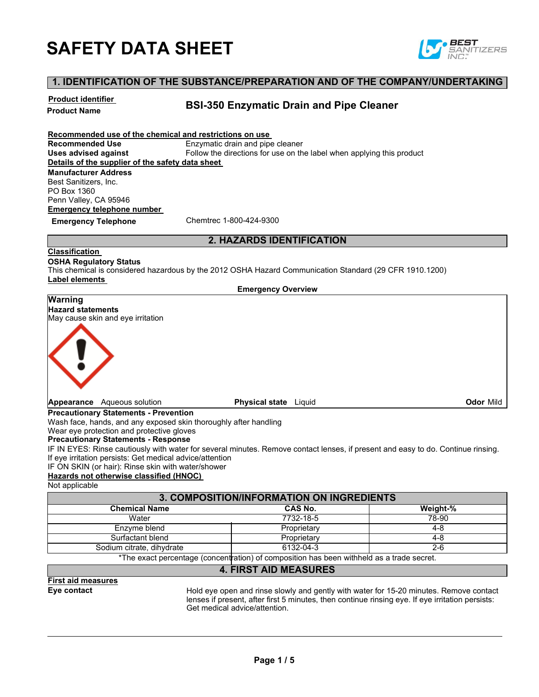# **SAFETY DATA SHEET**



## **1. IDENTIFICATION OF THE SUBSTANCE/PREPARATION AND OF THE COMPANY/UNDERTAKING**

## **Product identifier <b>BSI-350** Enzymatic Drain and Pipe Cleaner

**Recommended use of the chemical and restrictions on use Recommended Use** Enzymatic drain and pipe cleaner **Uses advised against** Follow the directions for use on the label when applying this product **Details of the supplier of the safety data sheet Manufacturer Address** Best Sanitizers, Inc. PO Box 1360 Penn Valley, CA 95946 **Emergency telephone number** 

**Emergency Telephone** Chemtrec 1-800-424-9300

#### **2. HAZARDS IDENTIFICATION**

#### **Classification**

**OSHA Regulatory Status** This chemical is considered hazardous by the 2012 OSHA Hazard Communication Standard (29 CFR 1910.1200) **Label elements** 

**Emergency Overview**

## **Warning**

**Hazard statements** May cause skin and eye irritation



**Appearance** Aqueous solution **Physical state** Liquid **Odor** Mild

**Precautionary Statements - Prevention**

Wash face, hands, and any exposed skin thoroughly after handling Wear eye protection and protective gloves

#### **Precautionary Statements - Response**

IF IN EYES: Rinse cautiously with water for several minutes. Remove contact lenses, if present and easy to do. Continue rinsing. If eye irritation persists: Get medical advice/attention

IF ON SKIN (or hair): Rinse skin with water/shower

#### **Hazards not otherwise classified (HNOC)**

Not applicable

| <b>3. COMPOSITION/INFORMATION ON INGREDIENTS</b>                                          |             |          |  |  |  |  |
|-------------------------------------------------------------------------------------------|-------------|----------|--|--|--|--|
| <b>Chemical Name</b>                                                                      | CAS No.     | Weight-% |  |  |  |  |
| Water                                                                                     | 7732-18-5   | 78-90    |  |  |  |  |
| Enzyme blend                                                                              | Proprietary | 4-8      |  |  |  |  |
| Surfactant blend                                                                          | Proprietary | 4-8      |  |  |  |  |
| Sodium citrate, dihydrate                                                                 | 6132-04-3   | $2-6$    |  |  |  |  |
| *The exact percentage (concentration) of composition has been withheld as a trade secret. |             |          |  |  |  |  |

#### **4. FIRST AID MEASURES**

## **First aid measures**

**Eye contact Exercise 3 and Exercise 3** Hold eye open and rinse slowly and gently with water for 15-20 minutes. Remove contact lenses if present, after first 5 minutes, then continue rinsing eye. If eye irritation persists: Get medical advice/attention.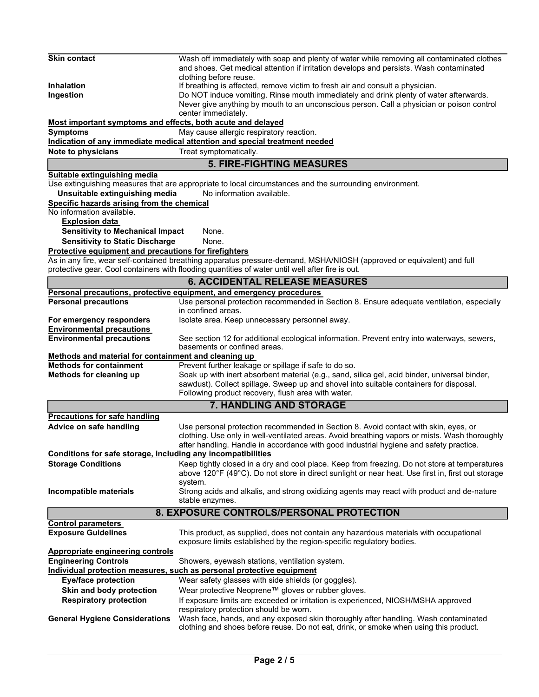| <b>Skin contact</b>                                          | Wash off immediately with soap and plenty of water while removing all contaminated clothes                                                   |  |  |  |  |  |  |
|--------------------------------------------------------------|----------------------------------------------------------------------------------------------------------------------------------------------|--|--|--|--|--|--|
|                                                              | and shoes. Get medical attention if irritation develops and persists. Wash contaminated                                                      |  |  |  |  |  |  |
|                                                              | clothing before reuse.                                                                                                                       |  |  |  |  |  |  |
| <b>Inhalation</b>                                            | If breathing is affected, remove victim to fresh air and consult a physician.                                                                |  |  |  |  |  |  |
| Ingestion                                                    | Do NOT induce vomiting. Rinse mouth immediately and drink plenty of water afterwards.                                                        |  |  |  |  |  |  |
|                                                              | Never give anything by mouth to an unconscious person. Call a physician or poison control                                                    |  |  |  |  |  |  |
|                                                              | center immediately.                                                                                                                          |  |  |  |  |  |  |
| Most important symptoms and effects, both acute and delayed  |                                                                                                                                              |  |  |  |  |  |  |
| <b>Symptoms</b>                                              | May cause allergic respiratory reaction.                                                                                                     |  |  |  |  |  |  |
|                                                              | Indication of any immediate medical attention and special treatment needed                                                                   |  |  |  |  |  |  |
| Note to physicians<br>Treat symptomatically.                 |                                                                                                                                              |  |  |  |  |  |  |
|                                                              | <b>5. FIRE-FIGHTING MEASURES</b>                                                                                                             |  |  |  |  |  |  |
| Suitable extinguishing media                                 |                                                                                                                                              |  |  |  |  |  |  |
|                                                              | Use extinguishing measures that are appropriate to local circumstances and the surrounding environment.                                      |  |  |  |  |  |  |
| Unsuitable extinguishing media                               | No information available.                                                                                                                    |  |  |  |  |  |  |
| Specific hazards arising from the chemical                   |                                                                                                                                              |  |  |  |  |  |  |
| No information available.                                    |                                                                                                                                              |  |  |  |  |  |  |
| <b>Explosion data</b>                                        |                                                                                                                                              |  |  |  |  |  |  |
| <b>Sensitivity to Mechanical Impact</b>                      | None.                                                                                                                                        |  |  |  |  |  |  |
| <b>Sensitivity to Static Discharge</b>                       | None.                                                                                                                                        |  |  |  |  |  |  |
| Protective equipment and precautions for firefighters        |                                                                                                                                              |  |  |  |  |  |  |
|                                                              | As in any fire, wear self-contained breathing apparatus pressure-demand, MSHA/NIOSH (approved or equivalent) and full                        |  |  |  |  |  |  |
|                                                              | protective gear. Cool containers with flooding quantities of water until well after fire is out.                                             |  |  |  |  |  |  |
|                                                              | <b>6. ACCIDENTAL RELEASE MEASURES</b>                                                                                                        |  |  |  |  |  |  |
|                                                              | Personal precautions, protective equipment, and emergency procedures                                                                         |  |  |  |  |  |  |
| <b>Personal precautions</b>                                  | Use personal protection recommended in Section 8. Ensure adequate ventilation, especially                                                    |  |  |  |  |  |  |
|                                                              | in confined areas.                                                                                                                           |  |  |  |  |  |  |
| For emergency responders                                     | Isolate area. Keep unnecessary personnel away.                                                                                               |  |  |  |  |  |  |
| <b>Environmental precautions</b>                             |                                                                                                                                              |  |  |  |  |  |  |
| <b>Environmental precautions</b>                             | See section 12 for additional ecological information. Prevent entry into waterways, sewers,                                                  |  |  |  |  |  |  |
|                                                              | basements or confined areas.                                                                                                                 |  |  |  |  |  |  |
| Methods and material for containment and cleaning up         |                                                                                                                                              |  |  |  |  |  |  |
| <b>Methods for containment</b>                               | Prevent further leakage or spillage if safe to do so.                                                                                        |  |  |  |  |  |  |
| Methods for cleaning up                                      | Soak up with inert absorbent material (e.g., sand, silica gel, acid binder, universal binder,                                                |  |  |  |  |  |  |
|                                                              | sawdust). Collect spillage. Sweep up and shovel into suitable containers for disposal.<br>Following product recovery, flush area with water. |  |  |  |  |  |  |
|                                                              | <b>7. HANDLING AND STORAGE</b>                                                                                                               |  |  |  |  |  |  |
| <b>Precautions for safe handling</b>                         |                                                                                                                                              |  |  |  |  |  |  |
| Advice on safe handling                                      | Use personal protection recommended in Section 8. Avoid contact with skin, eyes, or                                                          |  |  |  |  |  |  |
|                                                              | clothing. Use only in well-ventilated areas. Avoid breathing vapors or mists. Wash thoroughly                                                |  |  |  |  |  |  |
|                                                              | after handling. Handle in accordance with good industrial hygiene and safety practice.                                                       |  |  |  |  |  |  |
| Conditions for safe storage, including any incompatibilities |                                                                                                                                              |  |  |  |  |  |  |
| <b>Storage Conditions</b>                                    | Keep tightly closed in a dry and cool place. Keep from freezing. Do not store at temperatures                                                |  |  |  |  |  |  |
|                                                              | above 120°F (49°C). Do not store in direct sunlight or near heat. Use first in, first out storage                                            |  |  |  |  |  |  |
|                                                              | system.                                                                                                                                      |  |  |  |  |  |  |
| Incompatible materials                                       | Strong acids and alkalis, and strong oxidizing agents may react with product and de-nature                                                   |  |  |  |  |  |  |
|                                                              | stable enzymes.                                                                                                                              |  |  |  |  |  |  |
| 8. EXPOSURE CONTROLS/PERSONAL PROTECTION                     |                                                                                                                                              |  |  |  |  |  |  |
| <b>Control parameters</b>                                    |                                                                                                                                              |  |  |  |  |  |  |
| <b>Exposure Guidelines</b>                                   | This product, as supplied, does not contain any hazardous materials with occupational                                                        |  |  |  |  |  |  |
|                                                              | exposure limits established by the region-specific regulatory bodies.                                                                        |  |  |  |  |  |  |
| <b>Appropriate engineering controls</b>                      |                                                                                                                                              |  |  |  |  |  |  |
| <b>Engineering Controls</b>                                  | Showers, eyewash stations, ventilation system.                                                                                               |  |  |  |  |  |  |
|                                                              | Individual protection measures, such as personal protective equipment                                                                        |  |  |  |  |  |  |
| <b>Eye/face protection</b>                                   | Wear safety glasses with side shields (or goggles).                                                                                          |  |  |  |  |  |  |
| Skin and body protection                                     | Wear protective Neoprene™ gloves or rubber gloves.                                                                                           |  |  |  |  |  |  |
| <b>Respiratory protection</b>                                | If exposure limits are exceeded or irritation is experienced, NIOSH/MSHA approved                                                            |  |  |  |  |  |  |
|                                                              | respiratory protection should be worn.                                                                                                       |  |  |  |  |  |  |
| <b>General Hygiene Considerations</b>                        | Wash face, hands, and any exposed skin thoroughly after handling. Wash contaminated                                                          |  |  |  |  |  |  |
|                                                              | clothing and shoes before reuse. Do not eat, drink, or smoke when using this product.                                                        |  |  |  |  |  |  |
|                                                              |                                                                                                                                              |  |  |  |  |  |  |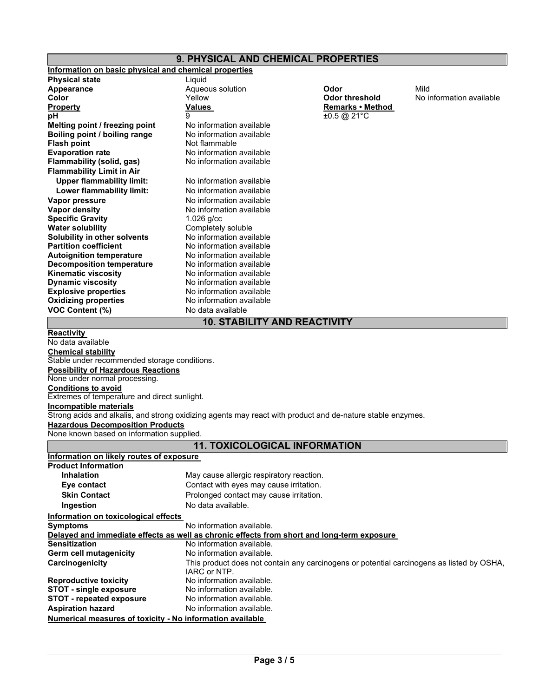#### **9. PHYSICAL AND CHEMICAL PROPERTIES Information on basic physical and chemical properties Physical state Liquid Exercise State**<br> **Appearance Liquid Aqueo Appearance** Aqueous solution **Odor** Mild **Color Color Color Color Color Color Members According to the Values Color Color Color Color According Members According Color Color Color Color Color Color Color Members According Property <b>Color** Color Color Color **Property Remarks • Method <b>Property Remarks • Method is a set of**  $\frac{Q}{9}$  **and**  $\frac{Q}{10.5}$  $\frac{Q}{C}$  $21^{\circ}$ **C** 9  $\overline{\pm 0.5 \otimes 21^{\circ}C}$ <br>No information available **Melting point / freezing point** No information available **Boiling point / boiling range Molec No information<br>
<b>Flash point** and **Report State** Not flammable **Flash point<br>Evaporation rate** No information available<br>No information available **Flammability** (solid, gas) **Flammability Limit in Air Upper flammability limit:** No information available

## **Lower flammability limit:** No information available<br>**Vapor pressure** No information available **Vapor pressure** No information available<br> **Vapor density**<br>
No information available **Specific Gravity<br>Water solubility Solubility in other solvents**<br>Partition coefficient **Autoignition temperature No information available**<br> **Decomposition temperature No** information available **Decomposition temperature**<br>Kinematic viscosity **Dynamic viscosity**<br> **Explosive properties**<br>
No information available **Explosive properties**<br> **Oxidizing properties**<br>
No information available **Oxidizing properties** No information av<br> **VOC Content (%)** No data available **VOC Content (%)**

No information available<br>1.026 g/cc **Completely soluble**<br>No information available No information available<br>No information available No information available<br>No information available

## **10. STABILITY AND REACTIVITY**

#### **Reactivity**

| INGALLIVILV<br>No data available                                                                           |                                                                                           |  |  |  |  |  |
|------------------------------------------------------------------------------------------------------------|-------------------------------------------------------------------------------------------|--|--|--|--|--|
| <b>Chemical stability</b>                                                                                  |                                                                                           |  |  |  |  |  |
| Stable under recommended storage conditions.                                                               |                                                                                           |  |  |  |  |  |
| <b>Possibility of Hazardous Reactions</b>                                                                  |                                                                                           |  |  |  |  |  |
| None under normal processing.                                                                              |                                                                                           |  |  |  |  |  |
| <b>Conditions to avoid</b>                                                                                 |                                                                                           |  |  |  |  |  |
| Extremes of temperature and direct sunlight.                                                               |                                                                                           |  |  |  |  |  |
| Incompatible materials                                                                                     |                                                                                           |  |  |  |  |  |
| Strong acids and alkalis, and strong oxidizing agents may react with product and de-nature stable enzymes. |                                                                                           |  |  |  |  |  |
| <b>Hazardous Decomposition Products</b>                                                                    |                                                                                           |  |  |  |  |  |
| None known based on information supplied.                                                                  |                                                                                           |  |  |  |  |  |
| <b>11. TOXICOLOGICAL INFORMATION</b>                                                                       |                                                                                           |  |  |  |  |  |
| Information on likely routes of exposure                                                                   |                                                                                           |  |  |  |  |  |
| <b>Product Information</b>                                                                                 |                                                                                           |  |  |  |  |  |
| <b>Inhalation</b>                                                                                          | May cause allergic respiratory reaction.                                                  |  |  |  |  |  |
| Eye contact                                                                                                | Contact with eyes may cause irritation.                                                   |  |  |  |  |  |
| <b>Skin Contact</b>                                                                                        | Prolonged contact may cause irritation.                                                   |  |  |  |  |  |
| Ingestion                                                                                                  | No data available.                                                                        |  |  |  |  |  |
| Information on toxicological effects                                                                       |                                                                                           |  |  |  |  |  |
| <b>Symptoms</b>                                                                                            | No information available.                                                                 |  |  |  |  |  |
| Delayed and immediate effects as well as chronic effects from short and long-term exposure                 |                                                                                           |  |  |  |  |  |
| <b>Sensitization</b>                                                                                       | No information available.                                                                 |  |  |  |  |  |
| Germ cell mutagenicity                                                                                     | No information available.                                                                 |  |  |  |  |  |
| Carcinogenicity                                                                                            | This product does not contain any carcinogens or potential carcinogens as listed by OSHA, |  |  |  |  |  |
|                                                                                                            | IARC or NTP.                                                                              |  |  |  |  |  |
| <b>Reproductive toxicity</b>                                                                               | No information available.                                                                 |  |  |  |  |  |
| <b>STOT - single exposure</b>                                                                              | No information available.                                                                 |  |  |  |  |  |
| <b>STOT - repeated exposure</b>                                                                            | No information available.                                                                 |  |  |  |  |  |
| <b>Aspiration hazard</b>                                                                                   | No information available.                                                                 |  |  |  |  |  |
| Numerical measures of toxicity - No information available                                                  |                                                                                           |  |  |  |  |  |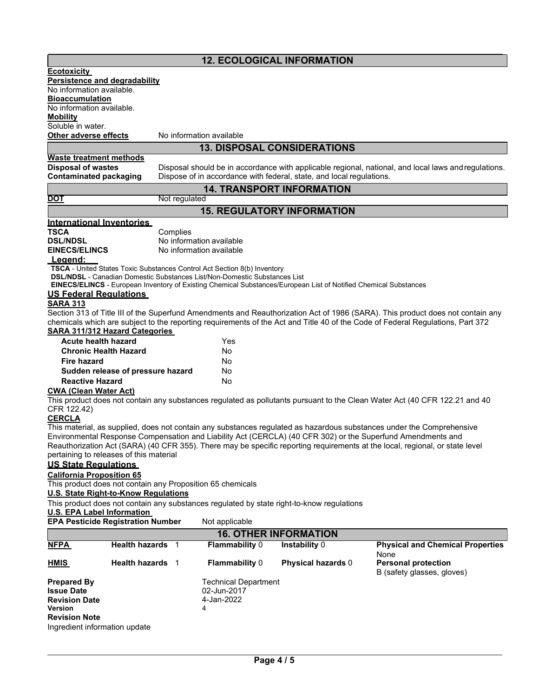| <b>12. ECOLOGICAL INFORMATION</b>                                                                                                         |                                         |               |                                                                                  |                                                                                                                  |                                                                                                                                                                                                                                                                  |  |  |  |
|-------------------------------------------------------------------------------------------------------------------------------------------|-----------------------------------------|---------------|----------------------------------------------------------------------------------|------------------------------------------------------------------------------------------------------------------|------------------------------------------------------------------------------------------------------------------------------------------------------------------------------------------------------------------------------------------------------------------|--|--|--|
| <b>Ecotoxicity</b>                                                                                                                        |                                         |               |                                                                                  |                                                                                                                  |                                                                                                                                                                                                                                                                  |  |  |  |
| Persistence and degradability                                                                                                             |                                         |               |                                                                                  |                                                                                                                  |                                                                                                                                                                                                                                                                  |  |  |  |
| No information available.                                                                                                                 |                                         |               |                                                                                  |                                                                                                                  |                                                                                                                                                                                                                                                                  |  |  |  |
| <b>Bioaccumulation</b>                                                                                                                    |                                         |               |                                                                                  |                                                                                                                  |                                                                                                                                                                                                                                                                  |  |  |  |
| No information available.                                                                                                                 |                                         |               |                                                                                  |                                                                                                                  |                                                                                                                                                                                                                                                                  |  |  |  |
| <b>Mobility</b>                                                                                                                           |                                         |               |                                                                                  |                                                                                                                  |                                                                                                                                                                                                                                                                  |  |  |  |
| Soluble in water.                                                                                                                         |                                         |               | No information available                                                         |                                                                                                                  |                                                                                                                                                                                                                                                                  |  |  |  |
| Other adverse effects                                                                                                                     |                                         |               |                                                                                  |                                                                                                                  |                                                                                                                                                                                                                                                                  |  |  |  |
|                                                                                                                                           |                                         |               | <b>13. DISPOSAL CONSIDERATIONS</b>                                               |                                                                                                                  |                                                                                                                                                                                                                                                                  |  |  |  |
| <b>Waste treatment methods</b>                                                                                                            |                                         |               |                                                                                  |                                                                                                                  |                                                                                                                                                                                                                                                                  |  |  |  |
| <b>Disposal of wastes</b>                                                                                                                 |                                         |               |                                                                                  |                                                                                                                  | Disposal should be in accordance with applicable regional, national, and local laws and regulations.                                                                                                                                                             |  |  |  |
| <b>Contaminated packaging</b><br>Dispose of in accordance with federal, state, and local regulations.<br><b>14. TRANSPORT INFORMATION</b> |                                         |               |                                                                                  |                                                                                                                  |                                                                                                                                                                                                                                                                  |  |  |  |
| <u>DOT</u>                                                                                                                                |                                         | Not regulated |                                                                                  |                                                                                                                  |                                                                                                                                                                                                                                                                  |  |  |  |
|                                                                                                                                           |                                         |               | <b>15. REGULATORY INFORMATION</b>                                                |                                                                                                                  |                                                                                                                                                                                                                                                                  |  |  |  |
| <b>International Inventories</b>                                                                                                          |                                         |               |                                                                                  |                                                                                                                  |                                                                                                                                                                                                                                                                  |  |  |  |
| <b>TSCA</b>                                                                                                                               |                                         | Complies      |                                                                                  |                                                                                                                  |                                                                                                                                                                                                                                                                  |  |  |  |
| <b>DSL/NDSL</b>                                                                                                                           |                                         |               | No information available                                                         |                                                                                                                  |                                                                                                                                                                                                                                                                  |  |  |  |
| <b>EINECS/ELINCS</b>                                                                                                                      |                                         |               | No information available                                                         |                                                                                                                  |                                                                                                                                                                                                                                                                  |  |  |  |
| Legend:                                                                                                                                   |                                         |               |                                                                                  |                                                                                                                  |                                                                                                                                                                                                                                                                  |  |  |  |
|                                                                                                                                           |                                         |               | TSCA - United States Toxic Substances Control Act Section 8(b) Inventory         |                                                                                                                  |                                                                                                                                                                                                                                                                  |  |  |  |
|                                                                                                                                           |                                         |               | <b>DSL/NDSL</b> - Canadian Domestic Substances List/Non-Domestic Substances List |                                                                                                                  |                                                                                                                                                                                                                                                                  |  |  |  |
|                                                                                                                                           |                                         |               |                                                                                  | EINECS/ELINCS - European Inventory of Existing Chemical Substances/European List of Notified Chemical Substances |                                                                                                                                                                                                                                                                  |  |  |  |
| <b>US Federal Requiations</b>                                                                                                             |                                         |               |                                                                                  |                                                                                                                  |                                                                                                                                                                                                                                                                  |  |  |  |
| <b>SARA 313</b>                                                                                                                           |                                         |               |                                                                                  |                                                                                                                  |                                                                                                                                                                                                                                                                  |  |  |  |
|                                                                                                                                           |                                         |               |                                                                                  |                                                                                                                  | Section 313 of Title III of the Superfund Amendments and Reauthorization Act of 1986 (SARA). This product does not contain any<br>chemicals which are subject to the reporting requirements of the Act and Title 40 of the Code of Federal Regulations, Part 372 |  |  |  |
|                                                                                                                                           | <b>SARA 311/312 Hazard Categories</b>   |               |                                                                                  |                                                                                                                  |                                                                                                                                                                                                                                                                  |  |  |  |
| <b>Acute health hazard</b>                                                                                                                |                                         |               | Yes                                                                              |                                                                                                                  |                                                                                                                                                                                                                                                                  |  |  |  |
| <b>Chronic Health Hazard</b>                                                                                                              |                                         |               | No                                                                               |                                                                                                                  |                                                                                                                                                                                                                                                                  |  |  |  |
| <b>Fire hazard</b>                                                                                                                        |                                         |               |                                                                                  |                                                                                                                  |                                                                                                                                                                                                                                                                  |  |  |  |
|                                                                                                                                           |                                         |               | No                                                                               |                                                                                                                  |                                                                                                                                                                                                                                                                  |  |  |  |
| <b>Reactive Hazard</b>                                                                                                                    | Sudden release of pressure hazard       |               | No                                                                               |                                                                                                                  |                                                                                                                                                                                                                                                                  |  |  |  |
|                                                                                                                                           |                                         |               | No                                                                               |                                                                                                                  |                                                                                                                                                                                                                                                                  |  |  |  |
| <b>CWA (Clean Water Act)</b>                                                                                                              |                                         |               |                                                                                  |                                                                                                                  | This product does not contain any substances regulated as pollutants pursuant to the Clean Water Act (40 CFR 122.21 and 40                                                                                                                                       |  |  |  |
| CFR 122.42)                                                                                                                               |                                         |               |                                                                                  |                                                                                                                  |                                                                                                                                                                                                                                                                  |  |  |  |
| <b>CERCLA</b>                                                                                                                             |                                         |               |                                                                                  |                                                                                                                  |                                                                                                                                                                                                                                                                  |  |  |  |
|                                                                                                                                           |                                         |               |                                                                                  |                                                                                                                  | This material, as supplied, does not contain any substances regulated as hazardous substances under the Comprehensive                                                                                                                                            |  |  |  |
|                                                                                                                                           |                                         |               |                                                                                  |                                                                                                                  | Environmental Response Compensation and Liability Act (CERCLA) (40 CFR 302) or the Superfund Amendments and                                                                                                                                                      |  |  |  |
|                                                                                                                                           |                                         |               |                                                                                  |                                                                                                                  | Reauthorization Act (SARA) (40 CFR 355). There may be specific reporting requirements at the local, regional, or state level                                                                                                                                     |  |  |  |
|                                                                                                                                           | pertaining to releases of this material |               |                                                                                  |                                                                                                                  |                                                                                                                                                                                                                                                                  |  |  |  |
| <b>US State Requiations</b>                                                                                                               |                                         |               |                                                                                  |                                                                                                                  |                                                                                                                                                                                                                                                                  |  |  |  |
| <b>California Proposition 65</b>                                                                                                          |                                         |               |                                                                                  |                                                                                                                  |                                                                                                                                                                                                                                                                  |  |  |  |
| This product does not contain any Proposition 65 chemicals                                                                                |                                         |               |                                                                                  |                                                                                                                  |                                                                                                                                                                                                                                                                  |  |  |  |
| U.S. State Right-to-Know Regulations                                                                                                      |                                         |               |                                                                                  |                                                                                                                  |                                                                                                                                                                                                                                                                  |  |  |  |
| This product does not contain any substances regulated by state right-to-know regulations                                                 |                                         |               |                                                                                  |                                                                                                                  |                                                                                                                                                                                                                                                                  |  |  |  |
| <b>U.S. EPA Label Information</b>                                                                                                         |                                         |               |                                                                                  |                                                                                                                  |                                                                                                                                                                                                                                                                  |  |  |  |
| <b>EPA Pesticide Registration Number</b><br>Not applicable                                                                                |                                         |               |                                                                                  |                                                                                                                  |                                                                                                                                                                                                                                                                  |  |  |  |
|                                                                                                                                           |                                         |               | <b>16. OTHER INFORMATION</b>                                                     |                                                                                                                  |                                                                                                                                                                                                                                                                  |  |  |  |
| <b>NFPA</b>                                                                                                                               | Health hazards 1                        |               | <b>Flammability 0</b>                                                            | Instability 0                                                                                                    | <b>Physical and Chemical Properties</b>                                                                                                                                                                                                                          |  |  |  |
| <b>HMIS</b>                                                                                                                               | Health hazards 1                        |               | Flammability 0                                                                   | Physical hazards 0                                                                                               | None<br><b>Personal protection</b>                                                                                                                                                                                                                               |  |  |  |
|                                                                                                                                           |                                         |               |                                                                                  |                                                                                                                  | B (safety glasses, gloves)                                                                                                                                                                                                                                       |  |  |  |
| <b>Prepared By</b>                                                                                                                        |                                         |               | <b>Technical Department</b>                                                      |                                                                                                                  |                                                                                                                                                                                                                                                                  |  |  |  |
| <b>Issue Date</b>                                                                                                                         |                                         |               | 02-Jun-2017                                                                      |                                                                                                                  |                                                                                                                                                                                                                                                                  |  |  |  |
| <b>Revision Date</b>                                                                                                                      |                                         |               | 4-Jan-2022                                                                       |                                                                                                                  |                                                                                                                                                                                                                                                                  |  |  |  |
| Version                                                                                                                                   |                                         |               | 4                                                                                |                                                                                                                  |                                                                                                                                                                                                                                                                  |  |  |  |
| <b>Revision Note</b>                                                                                                                      |                                         |               |                                                                                  |                                                                                                                  |                                                                                                                                                                                                                                                                  |  |  |  |
| Ingredient information update                                                                                                             |                                         |               |                                                                                  |                                                                                                                  |                                                                                                                                                                                                                                                                  |  |  |  |